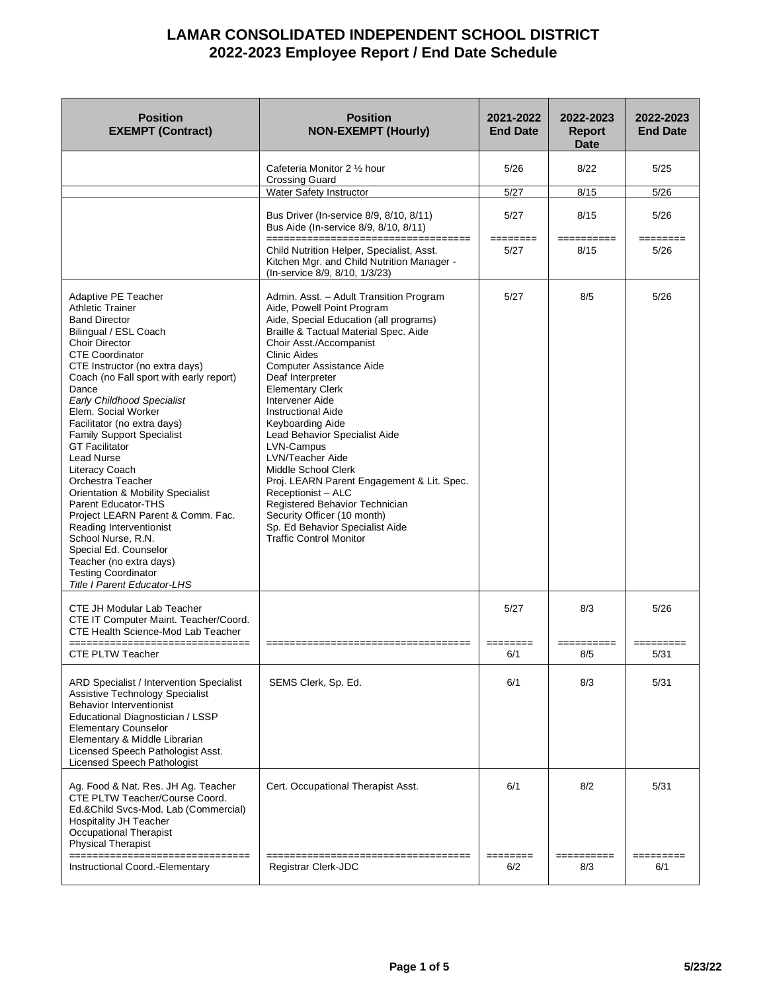| <b>Position</b><br><b>EXEMPT (Contract)</b>                                                                                                                                                                                                                                                                                                                                                                                                                                                                                                                                                                                                                                                                                                | <b>Position</b><br><b>NON-EXEMPT (Hourly)</b>                                                                                                                                                                                                                                                                                                                                                                                                                                                                                                                                                                                                                               | 2021-2022<br><b>End Date</b> | 2022-2023<br><b>Report</b><br><b>Date</b> | 2022-2023<br><b>End Date</b> |
|--------------------------------------------------------------------------------------------------------------------------------------------------------------------------------------------------------------------------------------------------------------------------------------------------------------------------------------------------------------------------------------------------------------------------------------------------------------------------------------------------------------------------------------------------------------------------------------------------------------------------------------------------------------------------------------------------------------------------------------------|-----------------------------------------------------------------------------------------------------------------------------------------------------------------------------------------------------------------------------------------------------------------------------------------------------------------------------------------------------------------------------------------------------------------------------------------------------------------------------------------------------------------------------------------------------------------------------------------------------------------------------------------------------------------------------|------------------------------|-------------------------------------------|------------------------------|
|                                                                                                                                                                                                                                                                                                                                                                                                                                                                                                                                                                                                                                                                                                                                            | Cafeteria Monitor 2 1/2 hour<br><b>Crossing Guard</b>                                                                                                                                                                                                                                                                                                                                                                                                                                                                                                                                                                                                                       | 5/26                         | 8/22                                      | 5/25                         |
|                                                                                                                                                                                                                                                                                                                                                                                                                                                                                                                                                                                                                                                                                                                                            | Water Safety Instructor                                                                                                                                                                                                                                                                                                                                                                                                                                                                                                                                                                                                                                                     | 5/27                         | 8/15                                      | 5/26                         |
|                                                                                                                                                                                                                                                                                                                                                                                                                                                                                                                                                                                                                                                                                                                                            | Bus Driver (In-service 8/9, 8/10, 8/11)<br>Bus Aide (In-service 8/9, 8/10, 8/11)<br>=====================================                                                                                                                                                                                                                                                                                                                                                                                                                                                                                                                                                   | 5/27<br>========             | 8/15<br>==========                        | 5/26<br>========             |
|                                                                                                                                                                                                                                                                                                                                                                                                                                                                                                                                                                                                                                                                                                                                            | Child Nutrition Helper, Specialist, Asst.<br>Kitchen Mgr. and Child Nutrition Manager -<br>(In-service 8/9, 8/10, 1/3/23)                                                                                                                                                                                                                                                                                                                                                                                                                                                                                                                                                   | 5/27                         | 8/15                                      | 5/26                         |
| Adaptive PE Teacher<br><b>Athletic Trainer</b><br><b>Band Director</b><br>Bilingual / ESL Coach<br>Choir Director<br><b>CTE Coordinator</b><br>CTE Instructor (no extra days)<br>Coach (no Fall sport with early report)<br>Dance<br><b>Early Childhood Specialist</b><br>Elem. Social Worker<br>Facilitator (no extra days)<br><b>Family Support Specialist</b><br><b>GT Facilitator</b><br><b>Lead Nurse</b><br>Literacy Coach<br>Orchestra Teacher<br><b>Orientation &amp; Mobility Specialist</b><br>Parent Educator-THS<br>Project LEARN Parent & Comm. Fac.<br>Reading Interventionist<br>School Nurse, R.N.<br>Special Ed. Counselor<br>Teacher (no extra days)<br><b>Testing Coordinator</b><br><b>Title I Parent Educator-LHS</b> | Admin. Asst. - Adult Transition Program<br>Aide, Powell Point Program<br>Aide, Special Education (all programs)<br>Braille & Tactual Material Spec. Aide<br>Choir Asst./Accompanist<br><b>Clinic Aides</b><br><b>Computer Assistance Aide</b><br>Deaf Interpreter<br><b>Elementary Clerk</b><br><b>Intervener Aide</b><br><b>Instructional Aide</b><br>Keyboarding Aide<br>Lead Behavior Specialist Aide<br>LVN-Campus<br>LVN/Teacher Aide<br>Middle School Clerk<br>Proj. LEARN Parent Engagement & Lit. Spec.<br>Receptionist - ALC<br>Registered Behavior Technician<br>Security Officer (10 month)<br>Sp. Ed Behavior Specialist Aide<br><b>Traffic Control Monitor</b> | 5/27                         | 8/5                                       | 5/26                         |
| CTE JH Modular Lab Teacher<br>CTE IT Computer Maint. Teacher/Coord.<br><b>CTE Health Science-Mod Lab Teacher</b><br>================================<br>CTE PLTW Teacher                                                                                                                                                                                                                                                                                                                                                                                                                                                                                                                                                                   | =====================================                                                                                                                                                                                                                                                                                                                                                                                                                                                                                                                                                                                                                                       | 5/27<br>========<br>6/1      | 8/3<br>==========<br>8/5                  | 5/26<br>5/31                 |
| <b>ARD Specialist / Intervention Specialist</b><br>Assistive Technology Specialist<br><b>Behavior Interventionist</b><br>Educational Diagnostician / LSSP<br><b>Elementary Counselor</b><br>Elementary & Middle Librarian<br>Licensed Speech Pathologist Asst.<br>Licensed Speech Pathologist                                                                                                                                                                                                                                                                                                                                                                                                                                              | SEMS Clerk, Sp. Ed.                                                                                                                                                                                                                                                                                                                                                                                                                                                                                                                                                                                                                                                         | 6/1                          | 8/3                                       | 5/31                         |
| Ag. Food & Nat. Res. JH Ag. Teacher<br>CTE PLTW Teacher/Course Coord.<br>Ed.&Child Svcs-Mod. Lab (Commercial)<br><b>Hospitality JH Teacher</b><br>Occupational Therapist<br><b>Physical Therapist</b><br>===============<br>Instructional Coord.-Elementary                                                                                                                                                                                                                                                                                                                                                                                                                                                                                | Cert. Occupational Therapist Asst.<br>Registrar Clerk-JDC                                                                                                                                                                                                                                                                                                                                                                                                                                                                                                                                                                                                                   | 6/1<br>=====<br>6/2          | 8/2<br>=======<br>8/3                     | 5/31<br>6/1                  |
|                                                                                                                                                                                                                                                                                                                                                                                                                                                                                                                                                                                                                                                                                                                                            |                                                                                                                                                                                                                                                                                                                                                                                                                                                                                                                                                                                                                                                                             |                              |                                           |                              |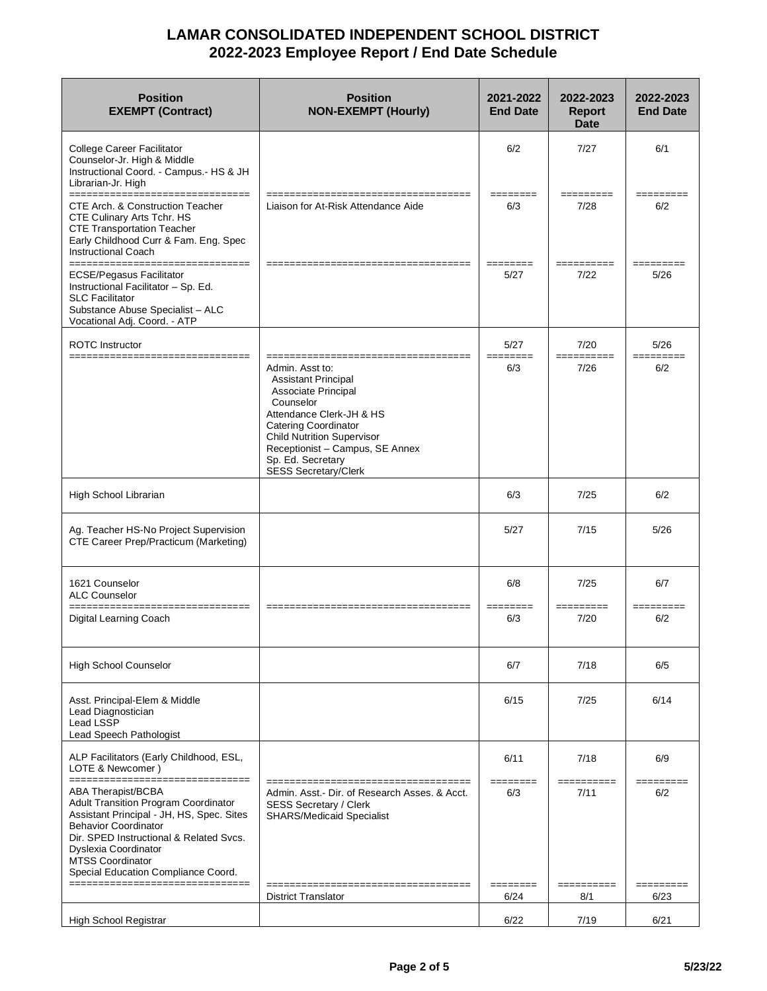| <b>Position</b><br><b>EXEMPT (Contract)</b>                                                                                                                                                                                                                                                                                                                                                                                                                                                                                                                                                                                                                                                                                                   | <b>Position</b><br><b>NON-EXEMPT (Hourly)</b>                                                                                                                                                                                                                            | 2021-2022<br><b>End Date</b> | 2022-2023<br><b>Report</b><br>Date | 2022-2023<br><b>End Date</b>                                                                                                                                                                                                                                                                                                                                                                                                                |
|-----------------------------------------------------------------------------------------------------------------------------------------------------------------------------------------------------------------------------------------------------------------------------------------------------------------------------------------------------------------------------------------------------------------------------------------------------------------------------------------------------------------------------------------------------------------------------------------------------------------------------------------------------------------------------------------------------------------------------------------------|--------------------------------------------------------------------------------------------------------------------------------------------------------------------------------------------------------------------------------------------------------------------------|------------------------------|------------------------------------|---------------------------------------------------------------------------------------------------------------------------------------------------------------------------------------------------------------------------------------------------------------------------------------------------------------------------------------------------------------------------------------------------------------------------------------------|
| <b>College Career Facilitator</b><br>Counselor-Jr. High & Middle<br>Instructional Coord. - Campus.- HS & JH<br>Librarian-Jr. High                                                                                                                                                                                                                                                                                                                                                                                                                                                                                                                                                                                                             |                                                                                                                                                                                                                                                                          | 6/2                          | 7/27                               | 6/1                                                                                                                                                                                                                                                                                                                                                                                                                                         |
| ====================<br>CTE Arch. & Construction Teacher<br>CTE Culinary Arts Tchr. HS<br><b>CTE Transportation Teacher</b><br>Early Childhood Curr & Fam. Eng. Spec<br><b>Instructional Coach</b>                                                                                                                                                                                                                                                                                                                                                                                                                                                                                                                                            | Liaison for At-Risk Attendance Aide                                                                                                                                                                                                                                      | ========<br>6/3              | =========<br>7/28                  | ======<br>6/2                                                                                                                                                                                                                                                                                                                                                                                                                               |
| ================<br>_______________<br><b>ECSE/Pegasus Facilitator</b><br>Instructional Facilitator - Sp. Ed.<br><b>SLC Facilitator</b><br>Substance Abuse Specialist - ALC<br>Vocational Adj. Coord. - ATP                                                                                                                                                                                                                                                                                                                                                                                                                                                                                                                                   |                                                                                                                                                                                                                                                                          | ---------<br>5/27            | -----------<br>7/22                | _________<br>5/26                                                                                                                                                                                                                                                                                                                                                                                                                           |
| <b>ROTC</b> Instructor<br>================================                                                                                                                                                                                                                                                                                                                                                                                                                                                                                                                                                                                                                                                                                    |                                                                                                                                                                                                                                                                          | 5/27<br>========             | 7/20                               | 5/26<br>$\begin{array}{cccccc} \texttt{m} & \texttt{m} & \texttt{m} & \texttt{m} & \texttt{m} & \texttt{m} & \texttt{m} & \texttt{m} & \texttt{m} & \texttt{m} & \texttt{m} & \texttt{m} & \texttt{m} & \texttt{m} & \texttt{m} & \texttt{m} & \texttt{m} & \texttt{m} & \texttt{m} & \texttt{m} & \texttt{m} & \texttt{m} & \texttt{m} & \texttt{m} & \texttt{m} & \texttt{m} & \texttt{m} & \texttt{m} & \texttt{m} & \texttt{m} & \text$ |
|                                                                                                                                                                                                                                                                                                                                                                                                                                                                                                                                                                                                                                                                                                                                               | Admin. Asst to:<br><b>Assistant Principal</b><br>Associate Principal<br>Counselor<br>Attendance Clerk-JH & HS<br><b>Catering Coordinator</b><br><b>Child Nutrition Supervisor</b><br>Receptionist - Campus, SE Annex<br>Sp. Ed. Secretary<br><b>SESS Secretary/Clerk</b> | 6/3                          | 7/26                               | 6/2                                                                                                                                                                                                                                                                                                                                                                                                                                         |
| High School Librarian                                                                                                                                                                                                                                                                                                                                                                                                                                                                                                                                                                                                                                                                                                                         |                                                                                                                                                                                                                                                                          | 6/3                          | 7/25                               | 6/2                                                                                                                                                                                                                                                                                                                                                                                                                                         |
| Ag. Teacher HS-No Project Supervision<br>CTE Career Prep/Practicum (Marketing)                                                                                                                                                                                                                                                                                                                                                                                                                                                                                                                                                                                                                                                                |                                                                                                                                                                                                                                                                          | 5/27                         | 7/15                               | 5/26                                                                                                                                                                                                                                                                                                                                                                                                                                        |
| 1621 Counselor<br><b>ALC Counselor</b>                                                                                                                                                                                                                                                                                                                                                                                                                                                                                                                                                                                                                                                                                                        |                                                                                                                                                                                                                                                                          | 6/8                          | 7/25                               | 6/7                                                                                                                                                                                                                                                                                                                                                                                                                                         |
| ===============================<br>Digital Learning Coach                                                                                                                                                                                                                                                                                                                                                                                                                                                                                                                                                                                                                                                                                     | ---------------------------------                                                                                                                                                                                                                                        | ========<br>6/3              | $=$ ========<br>7/20               | $=$ = = = = = = = =<br>6/2                                                                                                                                                                                                                                                                                                                                                                                                                  |
| <b>High School Counselor</b>                                                                                                                                                                                                                                                                                                                                                                                                                                                                                                                                                                                                                                                                                                                  |                                                                                                                                                                                                                                                                          | 6/7                          | 7/18                               | 6/5                                                                                                                                                                                                                                                                                                                                                                                                                                         |
| Asst. Principal-Elem & Middle<br>Lead Diagnostician<br>Lead LSSP<br>Lead Speech Pathologist                                                                                                                                                                                                                                                                                                                                                                                                                                                                                                                                                                                                                                                   |                                                                                                                                                                                                                                                                          | 6/15                         | 7/25                               | 6/14                                                                                                                                                                                                                                                                                                                                                                                                                                        |
| ALP Facilitators (Early Childhood, ESL,<br>LOTE & Newcomer)                                                                                                                                                                                                                                                                                                                                                                                                                                                                                                                                                                                                                                                                                   |                                                                                                                                                                                                                                                                          | 6/11                         | 7/18                               | 6/9                                                                                                                                                                                                                                                                                                                                                                                                                                         |
| $\begin{array}{cccccccccc} \texttt{m} & \texttt{m} & \texttt{m} & \texttt{m} & \texttt{m} & \texttt{m} & \texttt{m} & \texttt{m} & \texttt{m} & \texttt{m} & \texttt{m} & \texttt{m} & \texttt{m} & \texttt{m} & \texttt{m} & \texttt{m} & \texttt{m} & \texttt{m} & \texttt{m} & \texttt{m} & \texttt{m} & \texttt{m} & \texttt{m} & \texttt{m} & \texttt{m} & \texttt{m} & \texttt{m} & \texttt{m} & \texttt{m} & \texttt{m} & \$<br>ABA Therapist/BCBA<br><b>Adult Transition Program Coordinator</b><br>Assistant Principal - JH, HS, Spec. Sites<br><b>Behavior Coordinator</b><br>Dir. SPED Instructional & Related Sycs.<br>Dyslexia Coordinator<br><b>MTSS Coordinator</b><br>Special Education Compliance Coord.<br>================ | Admin, Asst.- Dir. of Research Asses, & Acct.<br><b>SESS Secretary / Clerk</b><br><b>SHARS/Medicaid Specialist</b>                                                                                                                                                       | -------<br>6/3               | 7/11                               | 6/2                                                                                                                                                                                                                                                                                                                                                                                                                                         |
|                                                                                                                                                                                                                                                                                                                                                                                                                                                                                                                                                                                                                                                                                                                                               | <b>District Translator</b>                                                                                                                                                                                                                                               | ========<br>6/24             | ==========<br>8/1                  | =========<br>6/23                                                                                                                                                                                                                                                                                                                                                                                                                           |
| High School Registrar                                                                                                                                                                                                                                                                                                                                                                                                                                                                                                                                                                                                                                                                                                                         |                                                                                                                                                                                                                                                                          | 6/22                         | 7/19                               | 6/21                                                                                                                                                                                                                                                                                                                                                                                                                                        |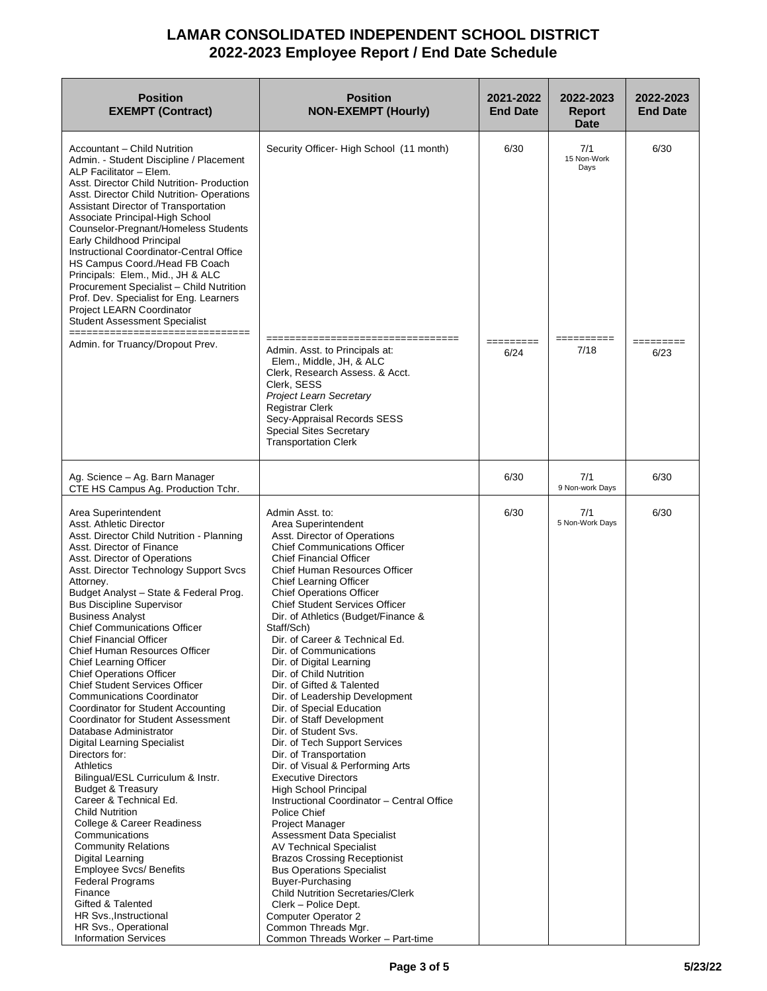| <b>Position</b><br><b>EXEMPT (Contract)</b>                                                                                                                                                                                                                                                                                                                                                                                                                                                                                                                                                                                                                                                                                                                                                                                                                                                                                                                                                                                                                                                                                                                              | <b>Position</b><br><b>NON-EXEMPT (Hourly)</b>                                                                                                                                                                                                                                                                                                                                                                                                                                                                                                                                                                                                                                                                                                                                                                                                                                                                                                                                                                                                                                                                                                                                                     | 2021-2022<br><b>End Date</b> | 2022-2023<br><b>Report</b><br><b>Date</b>        | 2022-2023<br><b>End Date</b> |
|--------------------------------------------------------------------------------------------------------------------------------------------------------------------------------------------------------------------------------------------------------------------------------------------------------------------------------------------------------------------------------------------------------------------------------------------------------------------------------------------------------------------------------------------------------------------------------------------------------------------------------------------------------------------------------------------------------------------------------------------------------------------------------------------------------------------------------------------------------------------------------------------------------------------------------------------------------------------------------------------------------------------------------------------------------------------------------------------------------------------------------------------------------------------------|---------------------------------------------------------------------------------------------------------------------------------------------------------------------------------------------------------------------------------------------------------------------------------------------------------------------------------------------------------------------------------------------------------------------------------------------------------------------------------------------------------------------------------------------------------------------------------------------------------------------------------------------------------------------------------------------------------------------------------------------------------------------------------------------------------------------------------------------------------------------------------------------------------------------------------------------------------------------------------------------------------------------------------------------------------------------------------------------------------------------------------------------------------------------------------------------------|------------------------------|--------------------------------------------------|------------------------------|
| Accountant - Child Nutrition<br>Admin. - Student Discipline / Placement<br>ALP Facilitator - Elem.<br>Asst. Director Child Nutrition- Production<br>Asst. Director Child Nutrition-Operations<br>Assistant Director of Transportation<br>Associate Principal-High School<br>Counselor-Pregnant/Homeless Students<br>Early Childhood Principal<br>Instructional Coordinator-Central Office<br>HS Campus Coord./Head FB Coach<br>Principals: Elem., Mid., JH & ALC<br>Procurement Specialist - Child Nutrition<br>Prof. Dev. Specialist for Eng. Learners<br>Project LEARN Coordinator<br><b>Student Assessment Specialist</b><br>________<br>Admin. for Truancy/Dropout Prev.                                                                                                                                                                                                                                                                                                                                                                                                                                                                                             | Security Officer- High School (11 month)<br>---------------------------<br>Admin. Asst. to Principals at:<br>Elem., Middle, JH, & ALC                                                                                                                                                                                                                                                                                                                                                                                                                                                                                                                                                                                                                                                                                                                                                                                                                                                                                                                                                                                                                                                             | 6/30<br>=========<br>6/24    | 7/1<br>15 Non-Work<br>Days<br>==========<br>7/18 | 6/30<br>=========<br>6/23    |
|                                                                                                                                                                                                                                                                                                                                                                                                                                                                                                                                                                                                                                                                                                                                                                                                                                                                                                                                                                                                                                                                                                                                                                          | Clerk, Research Assess. & Acct.<br>Clerk, SESS<br><b>Project Learn Secretary</b><br><b>Registrar Clerk</b><br>Secy-Appraisal Records SESS<br><b>Special Sites Secretary</b><br><b>Transportation Clerk</b>                                                                                                                                                                                                                                                                                                                                                                                                                                                                                                                                                                                                                                                                                                                                                                                                                                                                                                                                                                                        |                              |                                                  |                              |
| Ag. Science - Ag. Barn Manager<br>CTE HS Campus Ag. Production Tchr.                                                                                                                                                                                                                                                                                                                                                                                                                                                                                                                                                                                                                                                                                                                                                                                                                                                                                                                                                                                                                                                                                                     |                                                                                                                                                                                                                                                                                                                                                                                                                                                                                                                                                                                                                                                                                                                                                                                                                                                                                                                                                                                                                                                                                                                                                                                                   | 6/30                         | 7/1<br>9 Non-work Days                           | 6/30                         |
| Area Superintendent<br>Asst. Athletic Director<br>Asst. Director Child Nutrition - Planning<br>Asst. Director of Finance<br>Asst. Director of Operations<br>Asst. Director Technology Support Svcs<br>Attorney.<br>Budget Analyst - State & Federal Prog.<br><b>Bus Discipline Supervisor</b><br><b>Business Analyst</b><br><b>Chief Communications Officer</b><br>Chief Financial Officer<br>Chief Human Resources Officer<br><b>Chief Learning Officer</b><br><b>Chief Operations Officer</b><br><b>Chief Student Services Officer</b><br><b>Communications Coordinator</b><br>Coordinator for Student Accounting<br>Coordinator for Student Assessment<br>Database Administrator<br><b>Digital Learning Specialist</b><br>Directors for:<br><b>Athletics</b><br>Bilingual/ESL Curriculum & Instr.<br><b>Budget &amp; Treasury</b><br>Career & Technical Ed.<br><b>Child Nutrition</b><br>College & Career Readiness<br>Communications<br><b>Community Relations</b><br>Digital Learning<br><b>Employee Svcs/ Benefits</b><br><b>Federal Programs</b><br>Finance<br>Gifted & Talented<br>HR Svs., Instructional<br>HR Svs., Operational<br><b>Information Services</b> | Admin Asst. to:<br>Area Superintendent<br>Asst. Director of Operations<br><b>Chief Communications Officer</b><br><b>Chief Financial Officer</b><br><b>Chief Human Resources Officer</b><br><b>Chief Learning Officer</b><br><b>Chief Operations Officer</b><br>Chief Student Services Officer<br>Dir. of Athletics (Budget/Finance &<br>Staff/Sch)<br>Dir. of Career & Technical Ed.<br>Dir. of Communications<br>Dir. of Digital Learning<br>Dir. of Child Nutrition<br>Dir. of Gifted & Talented<br>Dir. of Leadership Development<br>Dir. of Special Education<br>Dir. of Staff Development<br>Dir. of Student Svs.<br>Dir. of Tech Support Services<br>Dir. of Transportation<br>Dir. of Visual & Performing Arts<br><b>Executive Directors</b><br><b>High School Principal</b><br>Instructional Coordinator - Central Office<br>Police Chief<br>Project Manager<br><b>Assessment Data Specialist</b><br><b>AV Technical Specialist</b><br><b>Brazos Crossing Receptionist</b><br><b>Bus Operations Specialist</b><br>Buyer-Purchasing<br><b>Child Nutrition Secretaries/Clerk</b><br>Clerk - Police Dept.<br>Computer Operator 2<br>Common Threads Mgr.<br>Common Threads Worker - Part-time | 6/30                         | 7/1<br>5 Non-Work Days                           | 6/30                         |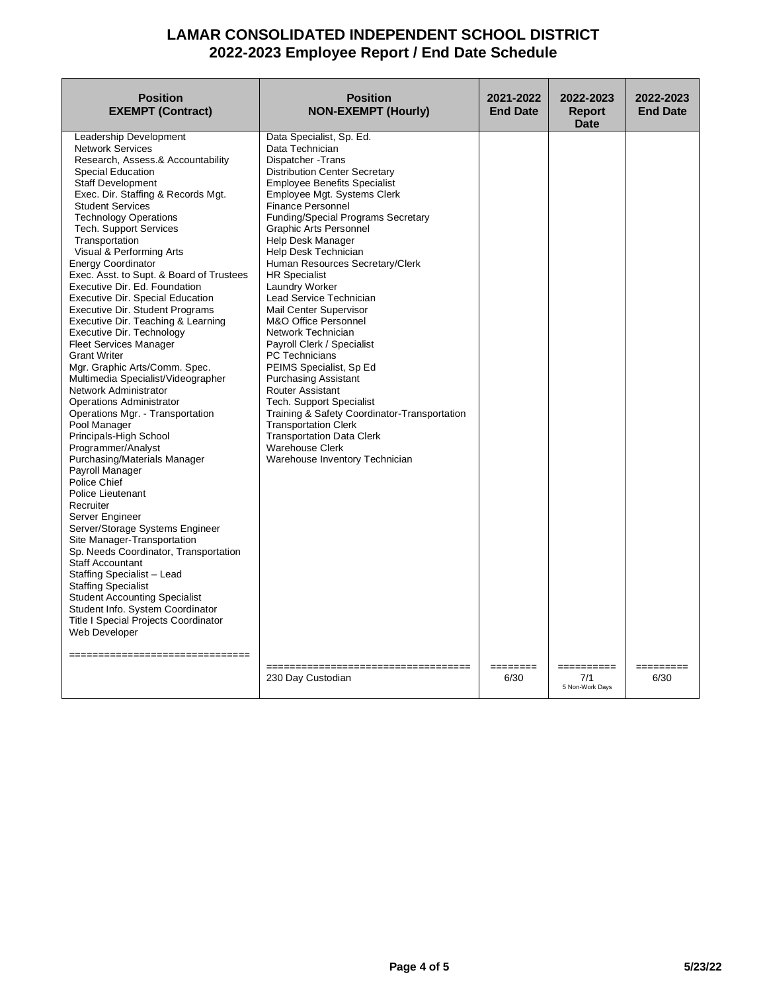| <b>Position</b><br><b>EXEMPT (Contract)</b>                                                                                                                                                                                                                                                                                                                                                                                                                                                                                                                                                                                                                                                                                                                                                                                                                                                                                                                                                                                                                                                                                                                                                                                                                                                                                                                                                            | <b>Position</b><br><b>NON-EXEMPT (Hourly)</b>                                                                                                                                                                                                                                                                                                                                                                                                                                                                                                                                                                                                                                                                                                                                                                                                                                        | 2021-2022<br><b>End Date</b> | 2022-2023<br><b>Report</b><br><b>Date</b> | 2022-2023<br><b>End Date</b> |
|--------------------------------------------------------------------------------------------------------------------------------------------------------------------------------------------------------------------------------------------------------------------------------------------------------------------------------------------------------------------------------------------------------------------------------------------------------------------------------------------------------------------------------------------------------------------------------------------------------------------------------------------------------------------------------------------------------------------------------------------------------------------------------------------------------------------------------------------------------------------------------------------------------------------------------------------------------------------------------------------------------------------------------------------------------------------------------------------------------------------------------------------------------------------------------------------------------------------------------------------------------------------------------------------------------------------------------------------------------------------------------------------------------|--------------------------------------------------------------------------------------------------------------------------------------------------------------------------------------------------------------------------------------------------------------------------------------------------------------------------------------------------------------------------------------------------------------------------------------------------------------------------------------------------------------------------------------------------------------------------------------------------------------------------------------------------------------------------------------------------------------------------------------------------------------------------------------------------------------------------------------------------------------------------------------|------------------------------|-------------------------------------------|------------------------------|
| Leadership Development<br><b>Network Services</b><br>Research, Assess.& Accountability<br><b>Special Education</b><br><b>Staff Development</b><br>Exec. Dir. Staffing & Records Mgt.<br><b>Student Services</b><br><b>Technology Operations</b><br><b>Tech. Support Services</b><br>Transportation<br>Visual & Performing Arts<br><b>Energy Coordinator</b><br>Exec. Asst. to Supt. & Board of Trustees<br>Executive Dir. Ed. Foundation<br><b>Executive Dir. Special Education</b><br><b>Executive Dir. Student Programs</b><br>Executive Dir. Teaching & Learning<br>Executive Dir. Technology<br><b>Fleet Services Manager</b><br><b>Grant Writer</b><br>Mgr. Graphic Arts/Comm. Spec.<br>Multimedia Specialist/Videographer<br>Network Administrator<br><b>Operations Administrator</b><br>Operations Mgr. - Transportation<br>Pool Manager<br>Principals-High School<br>Programmer/Analyst<br>Purchasing/Materials Manager<br>Payroll Manager<br>Police Chief<br>Police Lieutenant<br>Recruiter<br>Server Engineer<br>Server/Storage Systems Engineer<br>Site Manager-Transportation<br>Sp. Needs Coordinator, Transportation<br><b>Staff Accountant</b><br>Staffing Specialist - Lead<br><b>Staffing Specialist</b><br><b>Student Accounting Specialist</b><br>Student Info. System Coordinator<br><b>Title I Special Projects Coordinator</b><br>Web Developer<br>----------------------------- | Data Specialist, Sp. Ed.<br>Data Technician<br>Dispatcher - Trans<br><b>Distribution Center Secretary</b><br><b>Employee Benefits Specialist</b><br>Employee Mgt. Systems Clerk<br><b>Finance Personnel</b><br><b>Funding/Special Programs Secretary</b><br><b>Graphic Arts Personnel</b><br>Help Desk Manager<br>Help Desk Technician<br>Human Resources Secretary/Clerk<br><b>HR Specialist</b><br>Laundry Worker<br>Lead Service Technician<br><b>Mail Center Supervisor</b><br>M&O Office Personnel<br>Network Technician<br>Payroll Clerk / Specialist<br><b>PC Technicians</b><br>PEIMS Specialist, Sp Ed<br><b>Purchasing Assistant</b><br>Router Assistant<br><b>Tech. Support Specialist</b><br>Training & Safety Coordinator-Transportation<br><b>Transportation Clerk</b><br><b>Transportation Data Clerk</b><br><b>Warehouse Clerk</b><br>Warehouse Inventory Technician | ========                     |                                           |                              |
|                                                                                                                                                                                                                                                                                                                                                                                                                                                                                                                                                                                                                                                                                                                                                                                                                                                                                                                                                                                                                                                                                                                                                                                                                                                                                                                                                                                                        | 230 Day Custodian                                                                                                                                                                                                                                                                                                                                                                                                                                                                                                                                                                                                                                                                                                                                                                                                                                                                    | 6/30                         | 7/1<br>5 Non-Work Days                    | 6/30                         |